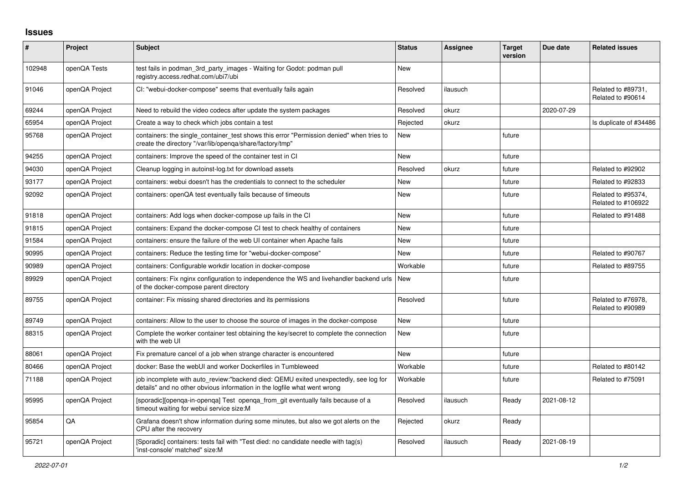## **Issues**

| $\pmb{\#}$ | Project        | <b>Subject</b>                                                                                                                                                   | <b>Status</b> | Assignee | <b>Target</b><br>version | Due date   | <b>Related issues</b>                    |
|------------|----------------|------------------------------------------------------------------------------------------------------------------------------------------------------------------|---------------|----------|--------------------------|------------|------------------------------------------|
| 102948     | openQA Tests   | test fails in podman 3rd party images - Waiting for Godot: podman pull<br>registry.access.redhat.com/ubi7/ubi                                                    | <b>New</b>    |          |                          |            |                                          |
| 91046      | openQA Project | CI: "webui-docker-compose" seems that eventually fails again                                                                                                     | Resolved      | ilausuch |                          |            | Related to #89731,<br>Related to #90614  |
| 69244      | openQA Project | Need to rebuild the video codecs after update the system packages                                                                                                | Resolved      | okurz    |                          | 2020-07-29 |                                          |
| 65954      | openQA Project | Create a way to check which jobs contain a test                                                                                                                  | Rejected      | okurz    |                          |            | Is duplicate of #34486                   |
| 95768      | openQA Project | containers: the single_container_test shows this error "Permission denied" when tries to<br>create the directory "/var/lib/openga/share/factory/tmp"             | <b>New</b>    |          | future                   |            |                                          |
| 94255      | openQA Project | containers: Improve the speed of the container test in CI                                                                                                        | <b>New</b>    |          | future                   |            |                                          |
| 94030      | openQA Project | Cleanup logging in autoinst-log.txt for download assets                                                                                                          | Resolved      | okurz    | future                   |            | Related to #92902                        |
| 93177      | openQA Project | containers: webui doesn't has the credentials to connect to the scheduler                                                                                        | <b>New</b>    |          | future                   |            | Related to #92833                        |
| 92092      | openQA Project | containers: openQA test eventually fails because of timeouts                                                                                                     | New           |          | future                   |            | Related to #95374,<br>Related to #106922 |
| 91818      | openQA Project | containers: Add logs when docker-compose up fails in the CI                                                                                                      | <b>New</b>    |          | future                   |            | Related to #91488                        |
| 91815      | openQA Project | containers: Expand the docker-compose CI test to check healthy of containers                                                                                     | <b>New</b>    |          | future                   |            |                                          |
| 91584      | openQA Project | containers: ensure the failure of the web UI container when Apache fails                                                                                         | <b>New</b>    |          | future                   |            |                                          |
| 90995      | openQA Project | containers: Reduce the testing time for "webui-docker-compose"                                                                                                   | <b>New</b>    |          | future                   |            | Related to #90767                        |
| 90989      | openQA Project | containers: Configurable workdir location in docker-compose                                                                                                      | Workable      |          | future                   |            | Related to #89755                        |
| 89929      | openQA Project | containers: Fix nginx configuration to independence the WS and livehandler backend urls<br>of the docker-compose parent directory                                | <b>New</b>    |          | future                   |            |                                          |
| 89755      | openQA Project | container: Fix missing shared directories and its permissions                                                                                                    | Resolved      |          | future                   |            | Related to #76978,<br>Related to #90989  |
| 89749      | openQA Project | containers: Allow to the user to choose the source of images in the docker-compose                                                                               | <b>New</b>    |          | future                   |            |                                          |
| 88315      | openQA Project | Complete the worker container test obtaining the key/secret to complete the connection<br>with the web UI                                                        | <b>New</b>    |          | future                   |            |                                          |
| 88061      | openQA Project | Fix premature cancel of a job when strange character is encountered                                                                                              | <b>New</b>    |          | future                   |            |                                          |
| 80466      | openQA Project | docker: Base the webUI and worker Dockerfiles in Tumbleweed                                                                                                      | Workable      |          | future                   |            | Related to #80142                        |
| 71188      | openQA Project | job incomplete with auto_review:"backend died: QEMU exited unexpectedly, see log for<br>details" and no other obvious information in the logfile what went wrong | Workable      |          | future                   |            | Related to #75091                        |
| 95995      | openQA Project | [sporadic][openqa-in-openqa] Test openqa_from_git eventually fails because of a<br>timeout waiting for webui service size:M                                      | Resolved      | ilausuch | Ready                    | 2021-08-12 |                                          |
| 95854      | QA             | Grafana doesn't show information during some minutes, but also we got alerts on the<br>CPU after the recovery                                                    | Rejected      | okurz    | Ready                    |            |                                          |
| 95721      | openQA Project | [Sporadic] containers: tests fail with "Test died: no candidate needle with tag(s)<br>'inst-console' matched" size:M                                             | Resolved      | ilausuch | Ready                    | 2021-08-19 |                                          |